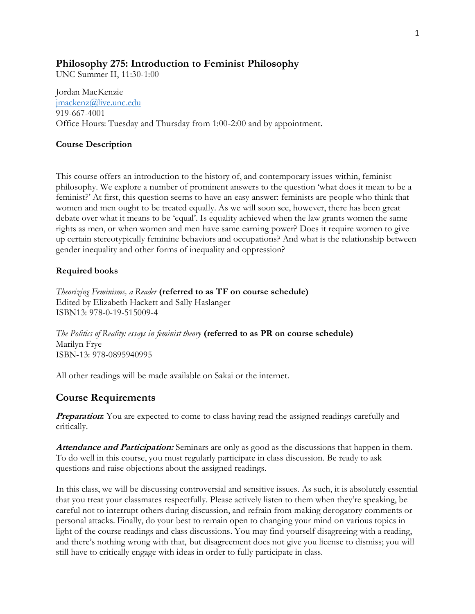### **Philosophy 275: Introduction to Feminist Philosophy**

UNC Summer II, 11:30-1:00

Jordan MacKenzie [jmackenz@live.unc.edu](mailto:jmackenz@live.unc.edu) 919-667-4001 Office Hours: Tuesday and Thursday from 1:00-2:00 and by appointment.

#### **Course Description**

This course offers an introduction to the history of, and contemporary issues within, feminist philosophy. We explore a number of prominent answers to the question 'what does it mean to be a feminist?' At first, this question seems to have an easy answer: feminists are people who think that women and men ought to be treated equally. As we will soon see, however, there has been great debate over what it means to be 'equal'. Is equality achieved when the law grants women the same rights as men, or when women and men have same earning power? Does it require women to give up certain stereotypically feminine behaviors and occupations? And what is the relationship between gender inequality and other forms of inequality and oppression?

### **Required books**

*Theorizing Feminisms, a Reader* **(referred to as TF on course schedule)** Edited by Elizabeth Hackett and Sally Haslanger ISBN13: 978-0-19-515009-4

*The Politics of Reality: essays in feminist theory* (referred to as PR on course schedule) Marilyn Frye ISBN-13: 978-0895940995

All other readings will be made available on Sakai or the internet.

## **Course Requirements**

**Preparation:** You are expected to come to class having read the assigned readings carefully and critically.

**Attendance and Participation:** Seminars are only as good as the discussions that happen in them. To do well in this course, you must regularly participate in class discussion. Be ready to ask questions and raise objections about the assigned readings.

In this class, we will be discussing controversial and sensitive issues. As such, it is absolutely essential that you treat your classmates respectfully. Please actively listen to them when they're speaking, be careful not to interrupt others during discussion, and refrain from making derogatory comments or personal attacks. Finally, do your best to remain open to changing your mind on various topics in light of the course readings and class discussions. You may find yourself disagreeing with a reading, and there's nothing wrong with that, but disagreement does not give you license to dismiss; you will still have to critically engage with ideas in order to fully participate in class.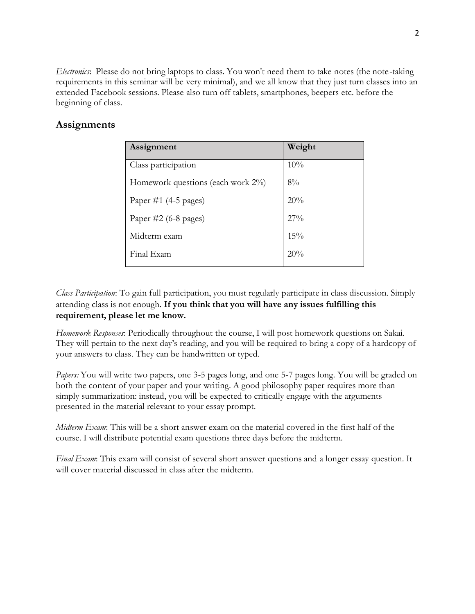*Electronics*: Please do not bring laptops to class. You won't need them to take notes (the note-taking requirements in this seminar will be very minimal), and we all know that they just turn classes into an extended Facebook sessions. Please also turn off tablets, smartphones, beepers etc. before the beginning of class.

# **Assignments**

| Assignment                        | Weight |
|-----------------------------------|--------|
| Class participation               | 10%    |
| Homework questions (each work 2%) | $8\%$  |
| Paper #1 $(4-5$ pages)            | 20%    |
| Paper $\#2$ (6-8 pages)           | $27\%$ |
| Midterm exam                      | 15%    |
| Final Exam                        | 20%    |

*Class Participation*: To gain full participation, you must regularly participate in class discussion. Simply attending class is not enough. **If you think that you will have any issues fulfilling this requirement, please let me know.** 

*Homework Responses*: Periodically throughout the course, I will post homework questions on Sakai. They will pertain to the next day's reading, and you will be required to bring a copy of a hardcopy of your answers to class. They can be handwritten or typed.

*Papers:* You will write two papers, one 3-5 pages long, and one 5-7 pages long. You will be graded on both the content of your paper and your writing. A good philosophy paper requires more than simply summarization: instead, you will be expected to critically engage with the arguments presented in the material relevant to your essay prompt.

*Midterm Exam*: This will be a short answer exam on the material covered in the first half of the course. I will distribute potential exam questions three days before the midterm.

*Final Exam*: This exam will consist of several short answer questions and a longer essay question. It will cover material discussed in class after the midterm.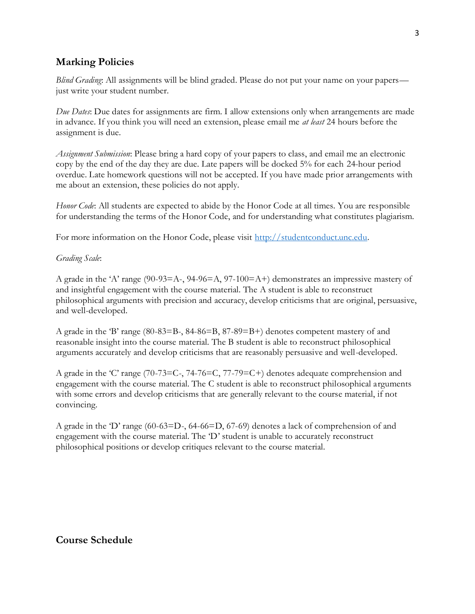## **Marking Policies**

*Blind Grading*: All assignments will be blind graded. Please do not put your name on your papers just write your student number.

*Due Dates*: Due dates for assignments are firm. I allow extensions only when arrangements are made in advance. If you think you will need an extension, please email me *at least* 24 hours before the assignment is due.

*Assignment Submission*: Please bring a hard copy of your papers to class, and email me an electronic copy by the end of the day they are due. Late papers will be docked 5% for each 24-hour period overdue. Late homework questions will not be accepted. If you have made prior arrangements with me about an extension, these policies do not apply.

*Honor Code*: All students are expected to abide by the Honor Code at all times. You are responsible for understanding the terms of the Honor Code, and for understanding what constitutes plagiarism.

For more information on the Honor Code, please visit [http://studentconduct.unc.edu.](http://studentconduct.unc.edu/)

### *Grading Scale*:

A grade in the 'A' range (90-93=A-, 94-96=A, 97-100=A+) demonstrates an impressive mastery of and insightful engagement with the course material. The A student is able to reconstruct philosophical arguments with precision and accuracy, develop criticisms that are original, persuasive, and well-developed.

A grade in the 'B' range (80-83=B-, 84-86=B, 87-89=B+) denotes competent mastery of and reasonable insight into the course material. The B student is able to reconstruct philosophical arguments accurately and develop criticisms that are reasonably persuasive and well-developed.

A grade in the 'C' range (70-73=C-, 74-76=C, 77-79=C+) denotes adequate comprehension and engagement with the course material. The C student is able to reconstruct philosophical arguments with some errors and develop criticisms that are generally relevant to the course material, if not convincing.

A grade in the 'D' range (60-63=D-, 64-66=D, 67-69) denotes a lack of comprehension of and engagement with the course material. The 'D' student is unable to accurately reconstruct philosophical positions or develop critiques relevant to the course material.

## **Course Schedule**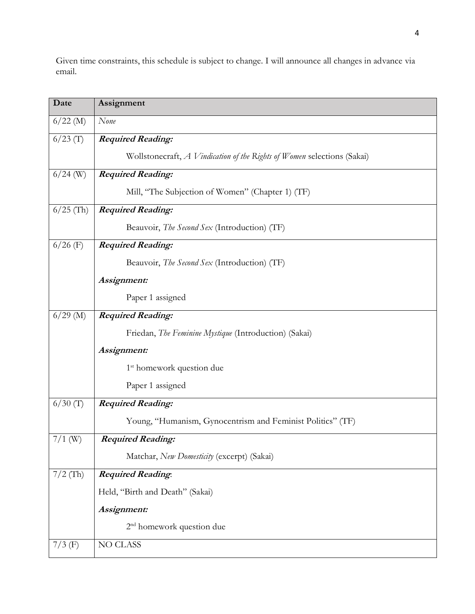Given time constraints, this schedule is subject to change. I will announce all changes in advance via email.

| Date        | Assignment                                                              |
|-------------|-------------------------------------------------------------------------|
| $6/22$ (M)  | None                                                                    |
| $6/23$ (T)  | <b>Required Reading:</b>                                                |
|             | Wollstonecraft, A Vindication of the Rights of Women selections (Sakai) |
| $6/24$ (W)  | <b>Required Reading:</b>                                                |
|             | Mill, "The Subjection of Women" (Chapter 1) (TF)                        |
| $6/25$ (Th) | <b>Required Reading:</b>                                                |
|             | Beauvoir, The Second Sex (Introduction) (TF)                            |
| $6/26$ (F)  | <b>Required Reading:</b>                                                |
|             | Beauvoir, <i>The Second Sex</i> (Introduction) (TF)                     |
|             | Assignment:                                                             |
|             | Paper 1 assigned                                                        |
| $6/29$ (M)  | <b>Required Reading:</b>                                                |
|             | Friedan, The Feminine Mystique (Introduction) (Sakai)                   |
|             | Assignment:                                                             |
|             | 1 <sup>st</sup> homework question due                                   |
|             | Paper 1 assigned                                                        |
| $6/30$ (T)  | <b>Required Reading:</b>                                                |
|             | Young, "Humanism, Gynocentrism and Feminist Politics" (TF)              |
| $7/1$ (W)   | <b>Required Reading:</b>                                                |
|             | Matchar, New Domesticity (excerpt) (Sakai)                              |
| $7/2$ (Th)  | <b>Required Reading:</b>                                                |
|             | Held, "Birth and Death" (Sakai)                                         |
|             | Assignment:                                                             |
|             | 2 <sup>nd</sup> homework question due                                   |
| $7/3$ (F)   | <b>NO CLASS</b>                                                         |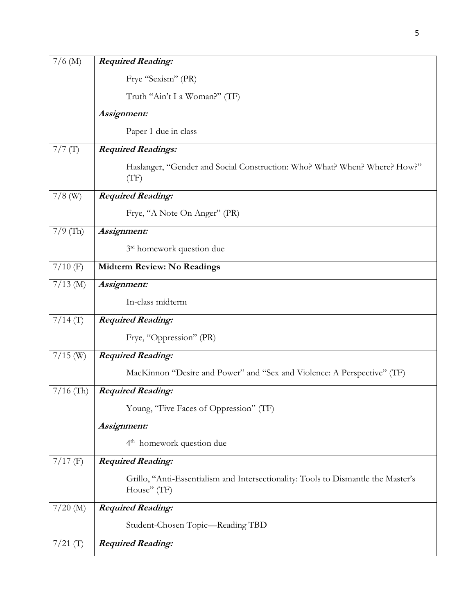| $7/6$ (M)   | <b>Required Reading:</b>                                                                         |
|-------------|--------------------------------------------------------------------------------------------------|
|             | Frye "Sexism" (PR)                                                                               |
|             | Truth "Ain't I a Woman?" (TF)                                                                    |
|             | Assignment:                                                                                      |
|             | Paper 1 due in class                                                                             |
| 7/7(T)      | <b>Required Readings:</b>                                                                        |
|             | Haslanger, "Gender and Social Construction: Who? What? When? Where? How?"<br>(TF)                |
| $7/8$ (W)   | <b>Required Reading:</b>                                                                         |
|             | Frye, "A Note On Anger" (PR)                                                                     |
| $7/9$ (Th)  | Assignment:                                                                                      |
|             | 3rd homework question due                                                                        |
| $7/10$ (F)  | Midterm Review: No Readings                                                                      |
| $7/13$ (M)  | Assignment:                                                                                      |
|             | In-class midterm                                                                                 |
| $7/14$ (T)  | <b>Required Reading:</b>                                                                         |
|             | Frye, "Oppression" (PR)                                                                          |
| $7/15$ (W)  | <b>Required Reading:</b>                                                                         |
|             | MacKinnon "Desire and Power" and "Sex and Violence: A Perspective" (TF)                          |
| $7/16$ (Th) | <b>Required Reading:</b>                                                                         |
|             | Young, "Five Faces of Oppression" (TF)                                                           |
|             | Assignment:                                                                                      |
|             | 4 <sup>th</sup> homework question due                                                            |
| $7/17$ (F)  | <b>Required Reading:</b>                                                                         |
|             | Grillo, "Anti-Essentialism and Intersectionality: Tools to Dismantle the Master's<br>House" (TF) |
| $7/20$ (M)  | <b>Required Reading:</b>                                                                         |
|             | Student-Chosen Topic—Reading TBD                                                                 |
| $7/21$ (T)  | <b>Required Reading:</b>                                                                         |